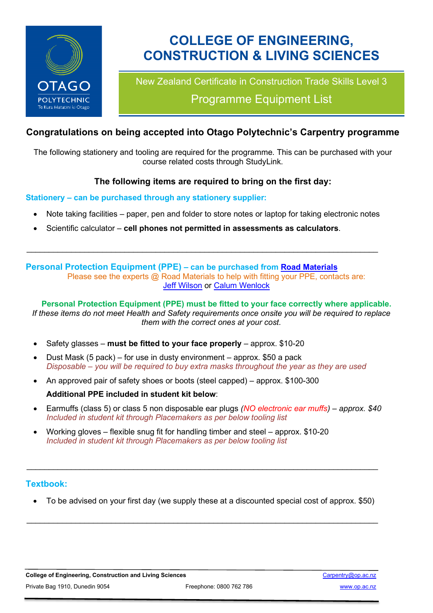

# **COLLEGE OF ENGINEERING, CONSTRUCTION & LIVING SCIENCES**

New Zealand Certificate in Construction Trade Skills Level 3

Programme Equipment List

## **Congratulations on being accepted into Otago Polytechnic's Carpentry programme**

The following stationery and tooling are required for the programme. This can be purchased with your course related costs through StudyLink.

## **The following items are required to bring on the first day:**

#### **Stationery – can be purchased through any stationery supplier:**

Note taking facilities – paper, pen and folder to store notes or laptop for taking electronic notes

 $\_$  , and the set of the set of the set of the set of the set of the set of the set of the set of the set of the set of the set of the set of the set of the set of the set of the set of the set of the set of the set of th

• Scientific calculator – **cell phones not permitted in assessments as calculators**.

**Personal Protection Equipment (PPE) – can be purchased from [Road Materials](https://www.roadmaterials.co.nz/)**

Please see the experts @ Road Materials to help with fitting your PPE, contacts are: [Jeff Wilson](mailto:jeff@roadmaterials.co.nz?subject=PPE%20fitting%20for%20Otago%25Polytechnic%20Carpentry%20course) or [Calum Wenlock](mailto:calum@roadmaterials.co.nz?subject=PPE%20fitting%20for%20Otago%20Polytechnic%20Carpentry%20course)

**Personal Protection Equipment (PPE) must be fitted to your face correctly where applicable.** *If these items do not meet Health and Safety requirements once onsite you will be required to replace them with the correct ones at your cost.*

- Safety glasses **must be fitted to your face properly** approx. \$10-20
- Dust Mask (5 pack) for use in dusty environment approx. \$50 a pack *Disposable – you will be required to buy extra masks throughout the year as they are used*
- An approved pair of safety shoes or boots (steel capped) approx. \$100-300 **Additional PPE included in student kit below**:
- Earmuffs (class 5) or class 5 non disposable ear plugs *(NO electronic ear muffs) – approx. \$40 Included in student kit through Placemakers as per below tooling list*
- Working gloves flexible snug fit for handling timber and steel approx. \$10-20 *Included in student kit through Placemakers as per below tooling list*

## **Textbook:**

• To be advised on your first day (we supply these at a discounted special cost of approx. \$50)

 $\_$  , and the set of the set of the set of the set of the set of the set of the set of the set of the set of the set of the set of the set of the set of the set of the set of the set of the set of the set of the set of th

 $\_$  , and the set of the set of the set of the set of the set of the set of the set of the set of the set of the set of the set of the set of the set of the set of the set of the set of the set of the set of the set of th